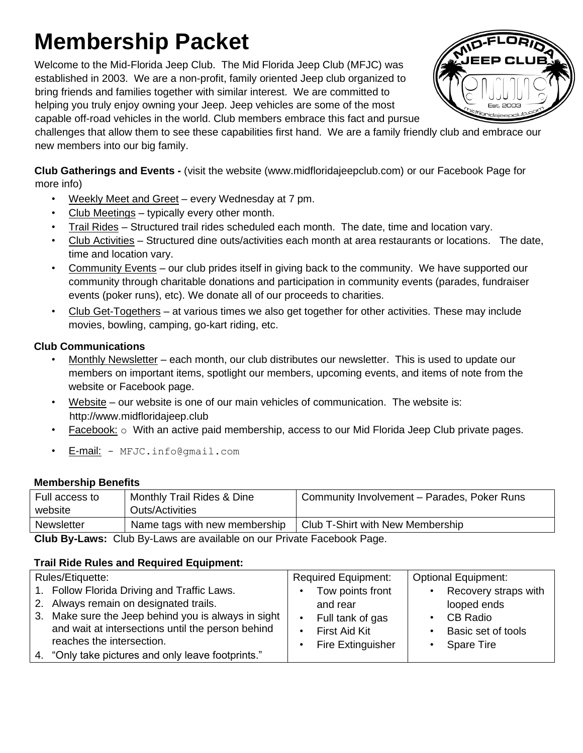# **Membership Packet**

Welcome to the Mid-Florida Jeep Club. The Mid Florida Jeep Club (MFJC) was established in 2003. We are a non-profit, family oriented Jeep club organized to bring friends and families together with similar interest. We are committed to helping you truly enjoy owning your Jeep. Jeep vehicles are some of the most capable off-road vehicles in the world. Club members embrace this fact and pursue



challenges that allow them to see these capabilities first hand. We are a family friendly club and embrace our new members into our big family.

**Club Gatherings and Events -** (visit the website (www.midfloridajeepclub.com) or our Facebook Page for more info)

- Weekly Meet and Greet every Wednesday at 7 pm.
- Club Meetings typically every other month.
- Trail Rides Structured trail rides scheduled each month. The date, time and location vary.
- Club Activities Structured dine outs/activities each month at area restaurants or locations. The date, time and location vary.
- Community Events our club prides itself in giving back to the community. We have supported our community through charitable donations and participation in community events (parades, fundraiser events (poker runs), etc). We donate all of our proceeds to charities.
- Club Get-Togethers at various times we also get together for other activities. These may include movies, bowling, camping, go-kart riding, etc.

## **Club Communications**

- Monthly Newsletter each month, our club distributes our newsletter. This is used to update our members on important items, spotlight our members, upcoming events, and items of note from the website or Facebook page.
- Website our website is one of our main vehicles of communication. The website is: http://www.midfloridajeep.club
- Facebook:  $\circ$  With an active paid membership, access to our Mid Florida Jeep Club private pages.
- E-mail: MFJC.info@gmail.com

## **Membership Benefits**

| Full access to                                                        | Monthly Trail Rides & Dine    | Community Involvement - Parades, Poker Runs |  |  |
|-----------------------------------------------------------------------|-------------------------------|---------------------------------------------|--|--|
| website                                                               | Outs/Activities               |                                             |  |  |
| <b>Newsletter</b>                                                     | Name tags with new membership | Club T-Shirt with New Membership            |  |  |
| Club Ry-Laws: Club Ry-Laws are available on our Private Eacebook Page |                               |                                             |  |  |

**Club By-Laws:** Club By-Laws are available on our Private Facebook Page.

## **Trail Ride Rules and Required Equipment:**

| Rules/Etiquette:                                                                                                                                                                                                               | <b>Required Equipment:</b>                                                                    | <b>Optional Equipment:</b>                                                                        |  |
|--------------------------------------------------------------------------------------------------------------------------------------------------------------------------------------------------------------------------------|-----------------------------------------------------------------------------------------------|---------------------------------------------------------------------------------------------------|--|
| 1. Follow Florida Driving and Traffic Laws.<br>2. Always remain on designated trails.<br>3. Make sure the Jeep behind you is always in sight<br>and wait at intersections until the person behind<br>reaches the intersection. | Tow points front<br>and rear<br>Full tank of gas<br>First Aid Kit<br><b>Fire Extinguisher</b> | Recovery straps with<br>looped ends<br><b>CB Radio</b><br>Basic set of tools<br><b>Spare Tire</b> |  |
| 4. "Only take pictures and only leave footprints."                                                                                                                                                                             |                                                                                               |                                                                                                   |  |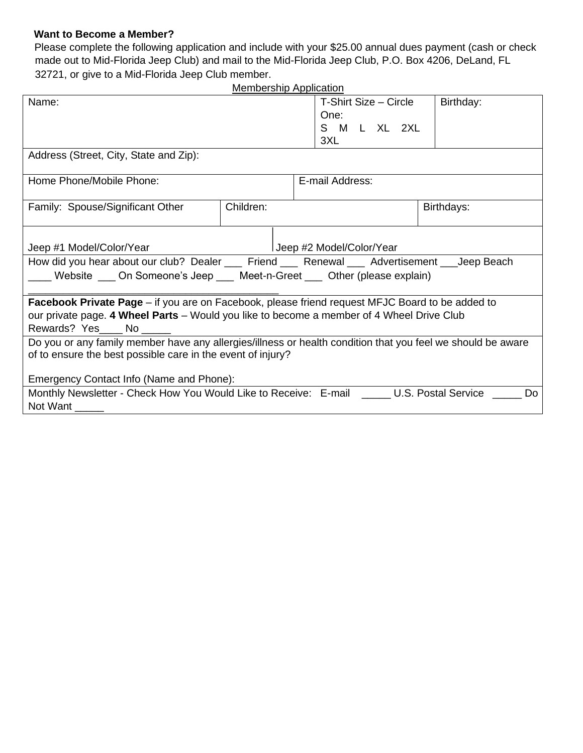#### **Want to Become a Member?**

Please complete the following application and include with your \$25.00 annual dues payment (cash or check made out to Mid-Florida Jeep Club) and mail to the Mid-Florida Jeep Club, P.O. Box 4206, DeLand, FL 32721, or give to a Mid-Florida Jeep Club member.

| <b>Membership Application</b>                                                                               |           |                          |                       |            |  |  |
|-------------------------------------------------------------------------------------------------------------|-----------|--------------------------|-----------------------|------------|--|--|
| Name:                                                                                                       |           |                          | T-Shirt Size - Circle | Birthday:  |  |  |
|                                                                                                             |           | One:                     |                       |            |  |  |
|                                                                                                             |           |                          | S M L XL 2XL          |            |  |  |
|                                                                                                             |           | 3XL                      |                       |            |  |  |
| Address (Street, City, State and Zip):                                                                      |           |                          |                       |            |  |  |
|                                                                                                             |           |                          |                       |            |  |  |
| Home Phone/Mobile Phone:                                                                                    |           | E-mail Address:          |                       |            |  |  |
|                                                                                                             |           |                          |                       |            |  |  |
| Family: Spouse/Significant Other                                                                            | Children: |                          |                       | Birthdays: |  |  |
|                                                                                                             |           |                          |                       |            |  |  |
|                                                                                                             |           |                          |                       |            |  |  |
| Jeep #1 Model/Color/Year                                                                                    |           | Ueep #2 Model/Color/Year |                       |            |  |  |
| How did you hear about our club? Dealer ___ Friend ___ Renewal ___ Advertisement ___Jeep Beach              |           |                          |                       |            |  |  |
| ___ Website ___ On Someone's Jeep ___ Meet-n-Greet ___ Other (please explain)                               |           |                          |                       |            |  |  |
|                                                                                                             |           |                          |                       |            |  |  |
| <b>Facebook Private Page</b> – if you are on Facebook, please friend request MFJC Board to be added to      |           |                          |                       |            |  |  |
| our private page. 4 Wheel Parts – Would you like to become a member of 4 Wheel Drive Club                   |           |                          |                       |            |  |  |
| Rewards? Yes No                                                                                             |           |                          |                       |            |  |  |
| Do you or any family member have any allergies/illness or health condition that you feel we should be aware |           |                          |                       |            |  |  |
| of to ensure the best possible care in the event of injury?                                                 |           |                          |                       |            |  |  |
|                                                                                                             |           |                          |                       |            |  |  |
| Emergency Contact Info (Name and Phone):                                                                    |           |                          |                       |            |  |  |
| Monthly Newsletter - Check How You Would Like to Receive: E-mail ______ U.S. Postal Service<br>Do           |           |                          |                       |            |  |  |
| Not Want                                                                                                    |           |                          |                       |            |  |  |
|                                                                                                             |           |                          |                       |            |  |  |